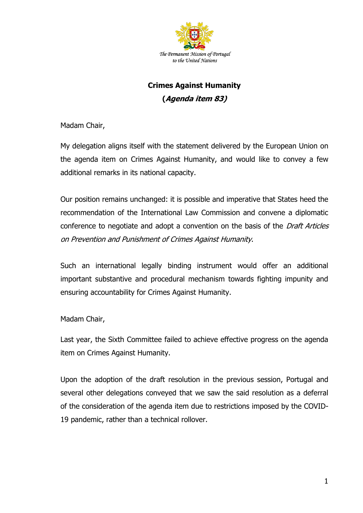

## **Crimes Against Humanity (Agenda item 83)**

Madam Chair,

My delegation aligns itself with the statement delivered by the European Union on the agenda item on Crimes Against Humanity, and would like to convey a few additional remarks in its national capacity.

Our position remains unchanged: it is possible and imperative that States heed the recommendation of the International Law Commission and convene a diplomatic conference to negotiate and adopt a convention on the basis of the *Draft Articles* on Prevention and Punishment of Crimes Against Humanity.

Such an international legally binding instrument would offer an additional important substantive and procedural mechanism towards fighting impunity and ensuring accountability for Crimes Against Humanity.

Madam Chair,

Last year, the Sixth Committee failed to achieve effective progress on the agenda item on Crimes Against Humanity.

Upon the adoption of the draft resolution in the previous session, Portugal and several other delegations conveyed that we saw the said resolution as a deferral of the consideration of the agenda item due to restrictions imposed by the COVID-19 pandemic, rather than a technical rollover.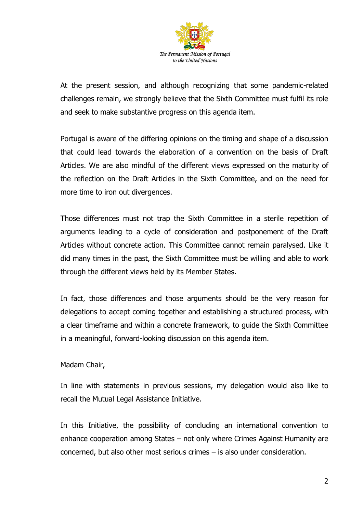

At the present session, and although recognizing that some pandemic-related challenges remain, we strongly believe that the Sixth Committee must fulfil its role and seek to make substantive progress on this agenda item.

Portugal is aware of the differing opinions on the timing and shape of a discussion that could lead towards the elaboration of a convention on the basis of Draft Articles. We are also mindful of the different views expressed on the maturity of the reflection on the Draft Articles in the Sixth Committee, and on the need for more time to iron out divergences.

Those differences must not trap the Sixth Committee in a sterile repetition of arguments leading to a cycle of consideration and postponement of the Draft Articles without concrete action. This Committee cannot remain paralysed. Like it did many times in the past, the Sixth Committee must be willing and able to work through the different views held by its Member States.

In fact, those differences and those arguments should be the very reason for delegations to accept coming together and establishing a structured process, with a clear timeframe and within a concrete framework, to guide the Sixth Committee in a meaningful, forward-looking discussion on this agenda item.

## Madam Chair,

In line with statements in previous sessions, my delegation would also like to recall the Mutual Legal Assistance Initiative.

In this Initiative, the possibility of concluding an international convention to enhance cooperation among States – not only where Crimes Against Humanity are concerned, but also other most serious crimes – is also under consideration.